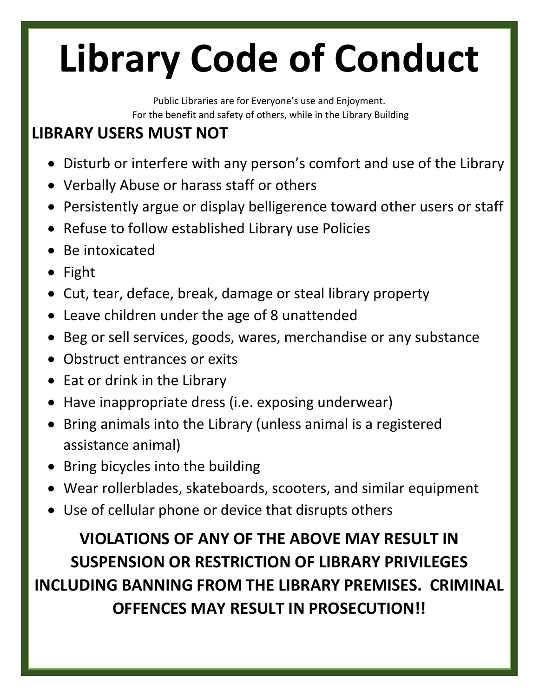## **Library Code of Conduct**

Public Libraries are for Everyone's use and Enjoyment. For the benefit and safety of others, while in the Library Building

## **LIBRARY USERS MUST NOT**

- Disturb or interfere with any person's comfort and use of the Library
- Verbally Abuse or harass staff or others
- Persistently argue or display belligerence toward other users or staff
- Refuse to follow established Library use Policies
- Be intoxicated
- Fight
- Cut, tear, deface, break, damage or steal library property
- Leave children under the age of 8 unattended
- Beg or sell services, goods, wares, merchandise or any substance
- Obstruct entrances or exits
- Eat or drink in the Library
- Have inappropriate dress (i.e. exposing underwear)
- Bring animals into the Library (unless animal is a registered assistance animal)
- Bring bicycles into the building
- Wear rollerblades, skateboards, scooters, and similar equipment
- Use of cellular phone or device that disrupts others

**VIOLATIONS OF ANY OF THE ABOVE MAY RESULT IN SUSPENSION OR RESTRICTION OF LIBRARY PRIVILEGES INCLUDING BANNING FROM THE LIBRARY PREMISES. CRIMINAL OFFENCES MAY RESULT IN PROSECUTION!!**